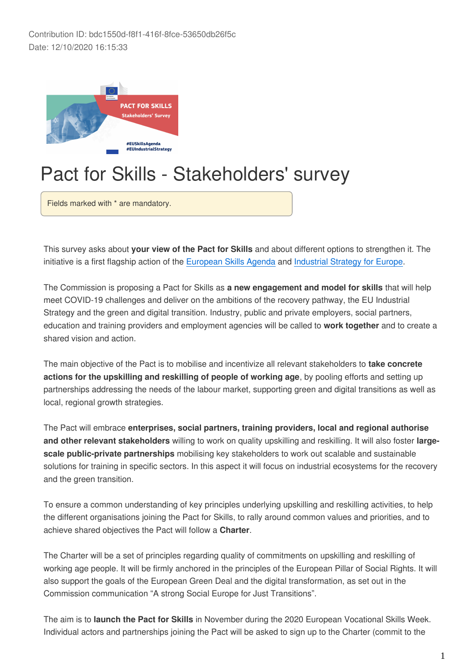Contribution ID: bdc1550d-f8f1-416f-8fce-53650db26f5c Date: 12/10/2020 16:15:33



# Pact for Skills - Stakeholders' survey

Fields marked with \* are mandatory.

This survey asks about **your view of the Pact for Skills** and about different options to strengthen it. The initiative is a first flagship action of the [European Skills Agenda](https://ec.europa.eu/social/main.jsp?catId=1223) and [Industrial Strategy for Europe](https://eur-lex.europa.eu/legal-content/EN/TXT/?uri=CELEX:52020DC0102).

The Commission is proposing a Pact for Skills as **a new engagement and model for skills** that will help meet COVID-19 challenges and deliver on the ambitions of the recovery pathway, the EU Industrial Strategy and the green and digital transition. Industry, public and private employers, social partners, education and training providers and employment agencies will be called to **work together** and to create a shared vision and action.

The main objective of the Pact is to mobilise and incentivize all relevant stakeholders to **take concrete actions for the upskilling and reskilling of people of working age**, by pooling efforts and setting up partnerships addressing the needs of the labour market, supporting green and digital transitions as well as local, regional growth strategies.

The Pact will embrace **enterprises, social partners, training providers, local and regional authorise and other relevant stakeholders** willing to work on quality upskilling and reskilling. It will also foster **largescale public-private partnerships** mobilising key stakeholders to work out scalable and sustainable solutions for training in specific sectors. In this aspect it will focus on industrial ecosystems for the recovery and the green transition.

To ensure a common understanding of key principles underlying upskilling and reskilling activities, to help the different organisations joining the Pact for Skills, to rally around common values and priorities, and to achieve shared objectives the Pact will follow a **Charter**.

The Charter will be a set of principles regarding quality of commitments on upskilling and reskilling of working age people. It will be firmly anchored in the principles of the European Pillar of Social Rights. It will also support the goals of the European Green Deal and the digital transformation, as set out in the Commission communication "A strong Social Europe for Just Transitions".

The aim is to **launch the Pact for Skills** in November during the 2020 European Vocational Skills Week. Individual actors and partnerships joining the Pact will be asked to sign up to the Charter (commit to the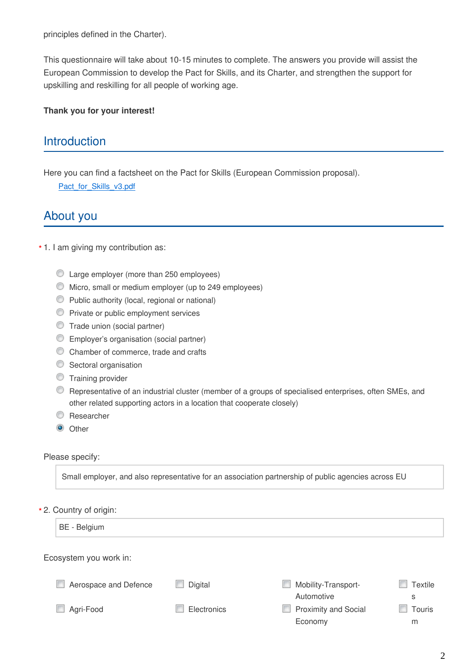principles defined in the Charter).

This questionnaire will take about 10-15 minutes to complete. The answers you provide will assist the European Commission to develop the Pact for Skills, and its Charter, and strengthen the support for upskilling and reskilling for all people of working age.

#### **Thank you for your interest!**

# **Introduction**

Here you can find a factsheet on the Pact for Skills (European Commission proposal).

Pact\_for\_Skills\_v3.pdf

## About you

#### 1. I am giving my contribution as: **\***

- Large employer (more than 250 employees)
- Micro, small or medium employer (up to 249 employees)
- Public authority (local, regional or national)
- **Private or public employment services**
- Trade union (social partner)
- Employer's organisation (social partner)
- C Chamber of commerce, trade and crafts
- **Sectoral organisation**
- **Training provider**
- Representative of an industrial cluster (member of a groups of specialised enterprises, often SMEs, and other related supporting actors in a location that cooperate closely)
- **C** Researcher
- $\bullet$  Other

#### Please specify:

Small employer, and also representative for an association partnership of public agencies across EU

2. Country of origin: **\***

| BE - Belgium           |             |                                   |                     |
|------------------------|-------------|-----------------------------------|---------------------|
| Ecosystem you work in: |             |                                   |                     |
| Aerospace and Defence  | Digital     | Mobility-Transport-<br>Automotive | <b>Textile</b><br>S |
| Agri-Food              | Electronics | Proximity and Social<br>Economy   | Touris<br>m         |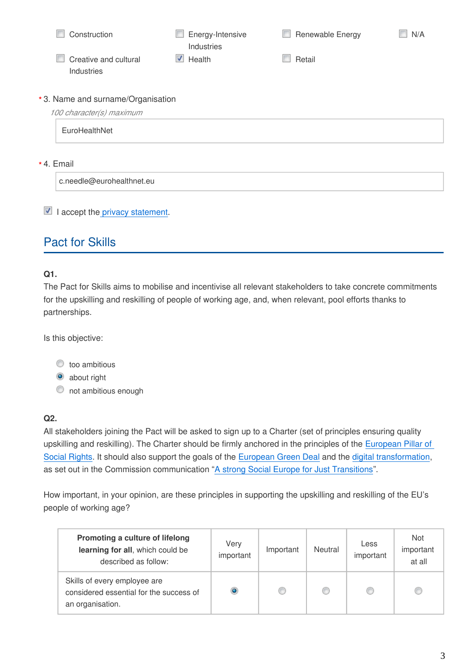| Construction                                                   | Energy-Intensive<br>Industries | Renewable Energy | N/A |
|----------------------------------------------------------------|--------------------------------|------------------|-----|
| Creative and cultural<br>Industries                            | Health<br>v                    | Retail           |     |
| * 3. Name and surname/Organisation<br>100 character(s) maximum |                                |                  |     |
| EuroHealthNet                                                  |                                |                  |     |
| * 4. Email                                                     |                                |                  |     |
| c.needle@eurohealthnet.eu                                      |                                |                  |     |

#### $\blacksquare$  I accept the [privacy statement.](https://ec.europa.eu/social/vocational-skills-week/privacy-statement)

# Pact for Skills

#### **Q1.**

The Pact for Skills aims to mobilise and incentivise all relevant stakeholders to take concrete commitments for the upskilling and reskilling of people of working age, and, when relevant, pool efforts thanks to partnerships.

Is this objective:

#### $\bullet$  too ambitious

<sup>o</sup> about right

 $\bullet$  not ambitious enough

#### **Q2.**

All stakeholders joining the Pact will be asked to sign up to a Charter (set of principles ensuring quality upskilling and reskilling). The Charter should be firmly anchored in the principles of the [European Pillar of](https://ec.europa.eu/commission/priorities/deeper-and-fairer-economic-and-monetary-union/european-pillar-social-rights/european-pillar-social-rights-20-principles_en)  [Social Rights](https://ec.europa.eu/commission/priorities/deeper-and-fairer-economic-and-monetary-union/european-pillar-social-rights/european-pillar-social-rights-20-principles_en). It should also support the goals of the [European Green Deal](https://ec.europa.eu/info/strategy/priorities-2019-2024/european-green-deal_en) and the [digital transformation](https://ec.europa.eu/digital-single-market/en), as set out in the Commission communication "[A strong Social Europe for Just Transitions"](https://eur-lex.europa.eu/legal-content/EN/TXT/?uri=CELEX:52020DC0014&qid=1580400520904).

How important, in your opinion, are these principles in supporting the upskilling and reskilling of the EU's people of working age?

| Promoting a culture of lifelong<br>learning for all, which could be<br>described as follow: | Very<br>important | Important | Neutral | Less<br>important | <b>Not</b><br>important<br>at all |
|---------------------------------------------------------------------------------------------|-------------------|-----------|---------|-------------------|-----------------------------------|
| Skills of every employee are<br>considered essential for the success of<br>an organisation. | ۰                 | ⊙         |         | Œ                 |                                   |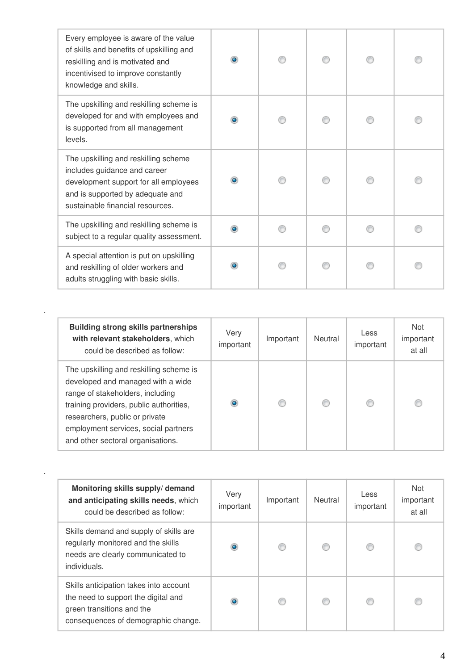| Every employee is aware of the value<br>of skills and benefits of upskilling and<br>reskilling and is motivated and<br>incentivised to improve constantly<br>knowledge and skills.    | $\bullet$ |  |  |
|---------------------------------------------------------------------------------------------------------------------------------------------------------------------------------------|-----------|--|--|
| The upskilling and reskilling scheme is<br>developed for and with employees and<br>is supported from all management<br>levels.                                                        | $\bullet$ |  |  |
| The upskilling and reskilling scheme<br>includes guidance and career<br>development support for all employees<br>and is supported by adequate and<br>sustainable financial resources. |           |  |  |
| The upskilling and reskilling scheme is<br>subject to a regular quality assessment.                                                                                                   | $\bullet$ |  |  |
| A special attention is put on upskilling<br>and reskilling of older workers and<br>adults struggling with basic skills.                                                               |           |  |  |

| <b>Building strong skills partnerships</b><br>with relevant stakeholders, which<br>could be described as follow:                                                                                                                                                           | Very<br>important | Important | Neutral | Less<br>important | <b>Not</b><br>important<br>at all |
|----------------------------------------------------------------------------------------------------------------------------------------------------------------------------------------------------------------------------------------------------------------------------|-------------------|-----------|---------|-------------------|-----------------------------------|
| The upskilling and reskilling scheme is<br>developed and managed with a wide<br>range of stakeholders, including<br>training providers, public authorities,<br>researchers, public or private<br>employment services, social partners<br>and other sectoral organisations. | $\bullet$         | $\circ$   | ◎       |                   | O                                 |

.

.

| Monitoring skills supply/demand<br>and anticipating skills needs, which<br>could be described as follow:                                          | Very<br>important | Important | Neutral | Less<br>important | <b>Not</b><br>important<br>at all |
|---------------------------------------------------------------------------------------------------------------------------------------------------|-------------------|-----------|---------|-------------------|-----------------------------------|
| Skills demand and supply of skills are<br>regularly monitored and the skills<br>needs are clearly communicated to<br>individuals.                 | ۰                 |           |         | €                 |                                   |
| Skills anticipation takes into account<br>the need to support the digital and<br>green transitions and the<br>consequences of demographic change. | ۰                 |           |         | €                 |                                   |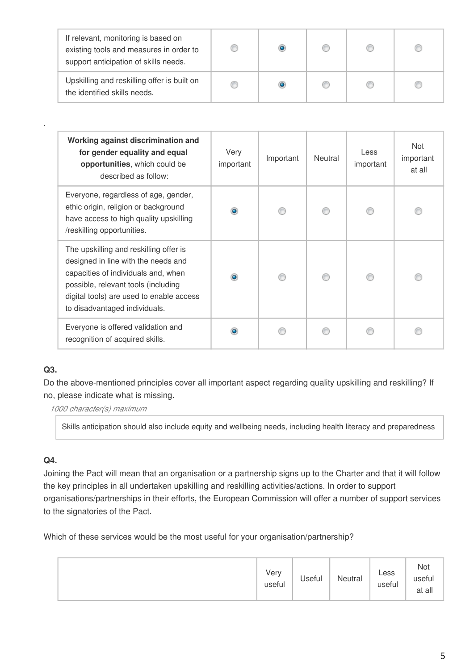| If relevant, monitoring is based on<br>existing tools and measures in order to<br>support anticipation of skills needs. |  |  |  |
|-------------------------------------------------------------------------------------------------------------------------|--|--|--|
| Upskilling and reskilling offer is built on<br>the identified skills needs.                                             |  |  |  |

| Working against discrimination and<br>for gender equality and equal<br>opportunities, which could be<br>described as follow:                                                                                                             | Very<br>important | Important | Neutral | Less<br>important | Not<br>important<br>at all |
|------------------------------------------------------------------------------------------------------------------------------------------------------------------------------------------------------------------------------------------|-------------------|-----------|---------|-------------------|----------------------------|
| Everyone, regardless of age, gender,<br>ethic origin, religion or background<br>have access to high quality upskilling<br>/reskilling opportunities.                                                                                     | ۰                 |           |         |                   |                            |
| The upskilling and reskilling offer is<br>designed in line with the needs and<br>capacities of individuals and, when<br>possible, relevant tools (including<br>digital tools) are used to enable access<br>to disadvantaged individuals. | $\bullet$         |           |         |                   |                            |
| Everyone is offered validation and<br>recognition of acquired skills.                                                                                                                                                                    |                   |           |         |                   |                            |

## **Q3.**

.

Do the above-mentioned principles cover all important aspect regarding quality upskilling and reskilling? If no, please indicate what is missing.

*1000 character(s) maximum*

Skills anticipation should also include equity and wellbeing needs, including health literacy and preparedness

## **Q4.**

Joining the Pact will mean that an organisation or a partnership signs up to the Charter and that it will follow the key principles in all undertaken upskilling and reskilling activities/actions. In order to support organisations/partnerships in their efforts, the European Commission will offer a number of support services to the signatories of the Pact.

Which of these services would be the most useful for your organisation/partnership?

|  | Very<br>useful | Useful | Neutral | Less<br>useful | Not<br>useful<br>at all |
|--|----------------|--------|---------|----------------|-------------------------|
|--|----------------|--------|---------|----------------|-------------------------|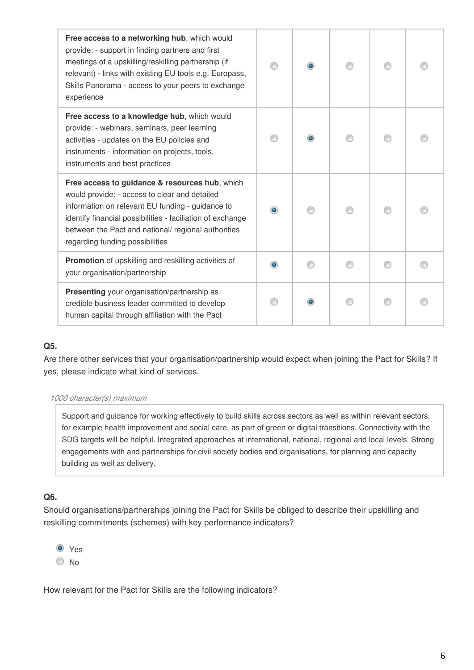| Free access to a networking hub, which would<br>provide: - support in finding partners and first<br>meetings of a upskilling/reskilling partnership (if<br>relevant) - links with existing EU tools e.g. Europass,<br>Skills Panorama - access to your peers to exchange<br>experience                      |  |  |  |
|-------------------------------------------------------------------------------------------------------------------------------------------------------------------------------------------------------------------------------------------------------------------------------------------------------------|--|--|--|
| Free access to a knowledge hub, which would<br>provide: - webinars, seminars, peer learning<br>activities - updates on the EU policies and<br>instruments - information on projects, tools,<br>instruments and best practices                                                                               |  |  |  |
| Free access to guidance & resources hub, which<br>would provide: - access to clear and detailed<br>information on relevant EU funding - guidance to<br>identify financial possibilities - faciliation of exchange<br>between the Pact and national/ regional authorities<br>regarding funding possibilities |  |  |  |
| Promotion of upskilling and reskilling activities of<br>your organisation/partnership                                                                                                                                                                                                                       |  |  |  |
| Presenting your organisation/partnership as<br>credible business leader committed to develop<br>human capital through affiliation with the Pact                                                                                                                                                             |  |  |  |

#### **Q5.**

Are there other services that your organisation/partnership would expect when joining the Pact for Skills? If yes, please indicate what kind of services.

#### *1000 character(s) maximum*

Support and guidance for working effectively to build skills across sectors as well as within relevant sectors, for example health improvement and social care, as part of green or digital transitions. Connectivity with the SDG targets will be helpful. Integrated approaches at international, national, regional and local levels. Strong engagements with and partnerships for civil society bodies and organisations, for planning and capacity building as well as delivery.

## **Q6.**

Should organisations/partnerships joining the Pact for Skills be obliged to describe their upskilling and reskilling commitments (schemes) with key performance indicators?



How relevant for the Pact for Skills are the following indicators?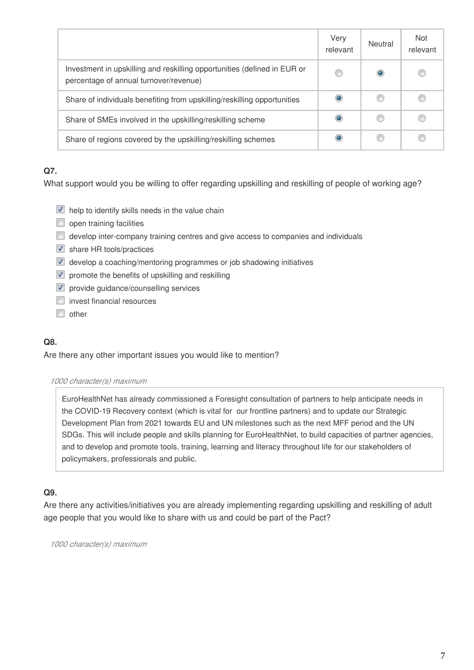|                                                                                                                    | Very<br>relevant | Neutral   | <b>Not</b><br>relevant |
|--------------------------------------------------------------------------------------------------------------------|------------------|-----------|------------------------|
| Investment in upskilling and reskilling opportunities (defined in EUR or<br>percentage of annual turnover/revenue) | C                | $\bullet$ |                        |
| Share of individuals benefiting from upskilling/reskilling opportunities                                           | $\bullet$        | C         | O                      |
| Share of SMEs involved in the upskilling/reskilling scheme                                                         | $\bullet$        | O         |                        |
| Share of regions covered by the upskilling/reskilling schemes                                                      | $\bullet$        | O         |                        |

## **Q7.**

What support would you be willing to offer regarding upskilling and reskilling of people of working age?

- $\blacksquare$  help to identify skills needs in the value chain
- open training facilities
- develop inter-company training centres and give access to companies and individuals
- share HR tools/practices
- **d** develop a coaching/mentoring programmes or job shadowing initiatives
- $\nabla$  promote the benefits of upskilling and reskilling
- $\nabla$  provide quidance/counselling services
- $\Box$  invest financial resources
- $\Box$  other

## **Q8.**

Are there any other important issues you would like to mention?

#### *1000 character(s) maximum*

EuroHealthNet has already commissioned a Foresight consultation of partners to help anticipate needs in the COVID-19 Recovery context (which is vital for our frontline partners) and to update our Strategic Development Plan from 2021 towards EU and UN milestones such as the next MFF period and the UN SDGs. This will include people and skills planning for EuroHealthNet, to build capacities of partner agencies, and to develop and promote tools, training, learning and literacy throughout life for our stakeholders of policymakers, professionals and public.

## **Q9.**

Are there any activities/initiatives you are already implementing regarding upskilling and reskilling of adult age people that you would like to share with us and could be part of the Pact?

*1000 character(s) maximum*